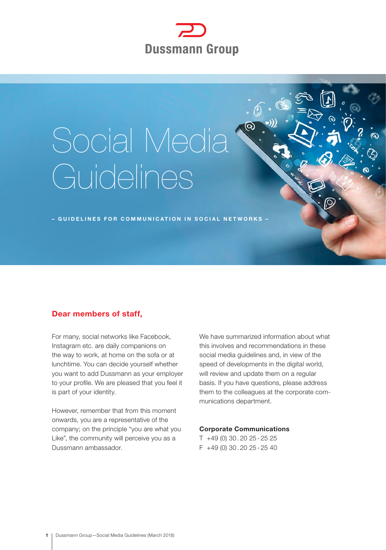

# Social Media Guidelines

– GUIDELINES FOR COMMUNICATION IN SOCIAL NETWORKS –

# Dear members of staff,

For many, social networks like Facebook, Instagram etc. are daily companions on the way to work, at home on the sofa or at lunchtime. You can decide yourself whether you want to add Dussmann as your employer to your profile. We are pleased that you feel it is part of your identity.

However, remember that from this moment onwards, you are a representative of the company; on the principle "you are what you Like", the community will perceive you as a Dussmann ambassador.

We have summarized information about what this involves and recommendations in these social media guidelines and, in view of the speed of developments in the digital world, will review and update them on a regular basis. If you have questions, please address them to the colleagues at the corporate communications department.

 $\circledcirc$ 

#### Corporate Communications

T +49 (0) 30 . 20 25 - 25 25 F +49 (0) 30 . 20 25 - 25 40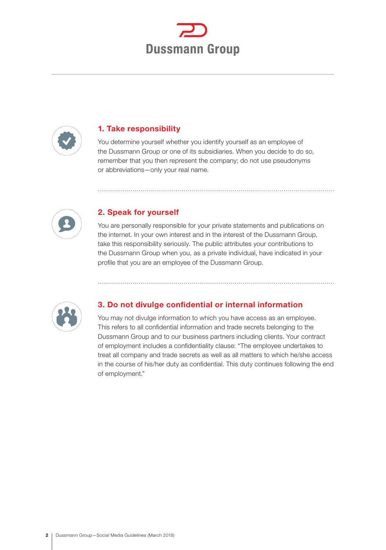



## 1. Take responsibility

You determine yourself whether you identify yourself as an employee of the Dussmann Group or one of its subsidiaries. When you decide to do so, remember that you then represent the company; do not use pseudonyms or abbreviations—only your real name.



# 2. Speak for yourself

You are personally responsible for your private statements and publications on the internet. In your own interest and in the interest of the Dussmann Group, take this responsibility seriously. The public attributes your contributions to the Dussmann Group when you, as a private individual, have indicated in your profile that you are an employee of the Dussmann Group.



# 3. Do not divulge confidential or internal information

You may not divulge information to which you have access as an employee. This refers to all confidential information and trade secrets belonging to the Dussmann Group and to our business partners including clients. Your contract of employment includes a confidentiality clause: "The employee undertakes to treat all company and trade secrets as well as all matters to which he/she access in the course of his/her duty as confidential. This duty continues following the end of employment."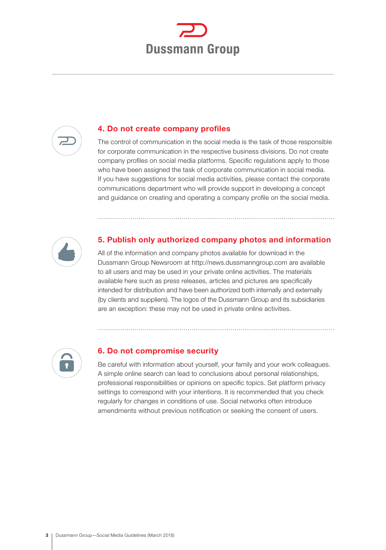



#### 4. Do not create company profiles

The control of communication in the social media is the task of those responsible for corporate communication in the respective business divisions. Do not create company profiles on social media platforms. Specific regulations apply to those who have been assigned the task of corporate communication in social media. If you have suggestions for social media activities, please contact the corporate communications department who will provide support in developing a concept and guidance on creating and operating a company profile on the social media.



### 5. Publish only authorized company photos and information

All of the information and company photos available for download in the Dussmann Group Newsroom at http://news.dussmanngroup.com are available to all users and may be used in your private online activities. The materials available here such as press releases, articles and pictures are specifically intended for distribution and have been authorized both internally and externally (by clients and suppliers). The logos of the Dussmann Group and its subsidiaries are an exception: these may not be used in private online activities.



#### 6. Do not compromise security

Be careful with information about yourself, your family and your work colleagues. A simple online search can lead to conclusions about personal relationships, professional responsibilities or opinions on specific topics. Set platform privacy settings to correspond with your intentions. It is recommended that you check regularly for changes in conditions of use. Social networks often introduce amendments without previous notification or seeking the consent of users.